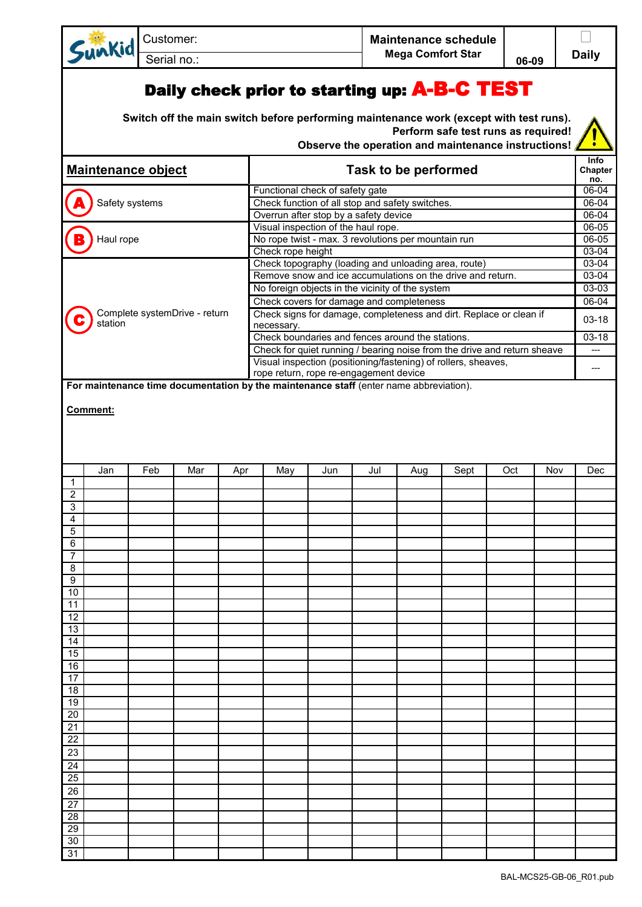Customer: **Maintenance schedule Mega Comfort Star Daily Daily Daily** 

## Daily check prior to starting up: A-B-C TEST

Sunkid

**Switch off the main switch before performing maintenance work (except with test runs). Perform safe test runs as required!**

**Observe the operation and maintenance instructions!** 

| <b>Maintenance object</b>                |           |                |     |     | Task to be performed                                                                   |     |     |     |      |                                                                          | Info<br>Chapter<br>no. |           |
|------------------------------------------|-----------|----------------|-----|-----|----------------------------------------------------------------------------------------|-----|-----|-----|------|--------------------------------------------------------------------------|------------------------|-----------|
|                                          |           |                |     |     | Functional check of safety gate                                                        |     |     |     |      |                                                                          |                        | 06-04     |
|                                          |           | Safety systems |     |     | Check function of all stop and safety switches.                                        |     |     |     |      |                                                                          |                        | 06-04     |
|                                          |           |                |     |     | Overrun after stop by a safety device                                                  |     |     |     |      |                                                                          |                        | $06 - 04$ |
|                                          |           |                |     |     | Visual inspection of the haul rope.                                                    |     |     |     |      |                                                                          |                        | $06 - 05$ |
|                                          | Haul rope |                |     |     | No rope twist - max. 3 revolutions per mountain run                                    |     |     |     |      |                                                                          |                        | 06-05     |
|                                          |           |                |     |     | Check rope height                                                                      |     |     |     |      |                                                                          |                        | $03 - 04$ |
|                                          |           |                |     |     | Check topography (loading and unloading area, route)                                   |     |     |     |      |                                                                          |                        | $03 - 04$ |
|                                          |           |                |     |     | Remove snow and ice accumulations on the drive and return.                             |     |     |     |      |                                                                          |                        | 03-04     |
|                                          |           |                |     |     | No foreign objects in the vicinity of the system                                       |     |     |     |      |                                                                          |                        | 03-03     |
|                                          |           |                |     |     | Check covers for damage and completeness                                               |     |     |     |      |                                                                          |                        | 06-04     |
| Complete systemDrive - return<br>station |           |                |     |     | necessary.                                                                             |     |     |     |      | Check signs for damage, completeness and dirt. Replace or clean if       |                        | $03 - 18$ |
|                                          |           |                |     |     | Check boundaries and fences around the stations.                                       |     |     |     |      |                                                                          |                        | $03 - 18$ |
|                                          |           |                |     |     |                                                                                        |     |     |     |      | Check for quiet running / bearing noise from the drive and return sheave |                        |           |
|                                          |           |                |     |     | Visual inspection (positioning/fastening) of rollers, sheaves,                         |     |     |     |      |                                                                          |                        |           |
|                                          |           |                |     |     | rope return, rope re-engagement device                                                 |     |     |     |      |                                                                          |                        | ---       |
|                                          |           |                |     |     | For maintenance time documentation by the maintenance staff (enter name abbreviation). |     |     |     |      |                                                                          |                        |           |
|                                          | Comment:  |                |     |     |                                                                                        |     |     |     |      |                                                                          |                        |           |
|                                          |           |                |     |     |                                                                                        |     |     |     |      |                                                                          |                        |           |
|                                          |           |                |     |     |                                                                                        |     |     |     |      |                                                                          |                        |           |
|                                          | Jan       | Feb            | Mar | Apr | May                                                                                    | Jun | Jul | Aug | Sept | Oct                                                                      | Nov                    | Dec       |
| $\mathbf{1}$                             |           |                |     |     |                                                                                        |     |     |     |      |                                                                          |                        |           |
| $\overline{2}$                           |           |                |     |     |                                                                                        |     |     |     |      |                                                                          |                        |           |
| $\sqrt{3}$                               |           |                |     |     |                                                                                        |     |     |     |      |                                                                          |                        |           |
| $\overline{4}$                           |           |                |     |     |                                                                                        |     |     |     |      |                                                                          |                        |           |
| 5                                        |           |                |     |     |                                                                                        |     |     |     |      |                                                                          |                        |           |
| 6                                        |           |                |     |     |                                                                                        |     |     |     |      |                                                                          |                        |           |
| $\overline{7}$                           |           |                |     |     |                                                                                        |     |     |     |      |                                                                          |                        |           |
| 8                                        |           |                |     |     |                                                                                        |     |     |     |      |                                                                          |                        |           |
| $\boldsymbol{9}$                         |           |                |     |     |                                                                                        |     |     |     |      |                                                                          |                        |           |
| 10                                       |           |                |     |     |                                                                                        |     |     |     |      |                                                                          |                        |           |
| $\overline{11}$                          |           |                |     |     |                                                                                        |     |     |     |      |                                                                          |                        |           |
| $\overline{12}$                          |           |                |     |     |                                                                                        |     |     |     |      |                                                                          |                        |           |
| 13                                       |           |                |     |     |                                                                                        |     |     |     |      |                                                                          |                        |           |
| 14                                       |           |                |     |     |                                                                                        |     |     |     |      |                                                                          |                        |           |
| $\overline{15}$                          |           |                |     |     |                                                                                        |     |     |     |      |                                                                          |                        |           |
| $\overline{16}$                          |           |                |     |     |                                                                                        |     |     |     |      |                                                                          |                        |           |
| 17<br>$\overline{18}$                    |           |                |     |     |                                                                                        |     |     |     |      |                                                                          |                        |           |
| $\overline{19}$                          |           |                |     |     |                                                                                        |     |     |     |      |                                                                          |                        |           |
| 20                                       |           |                |     |     |                                                                                        |     |     |     |      |                                                                          |                        |           |
| $\overline{21}$                          |           |                |     |     |                                                                                        |     |     |     |      |                                                                          |                        |           |
| $\overline{22}$                          |           |                |     |     |                                                                                        |     |     |     |      |                                                                          |                        |           |
| 23                                       |           |                |     |     |                                                                                        |     |     |     |      |                                                                          |                        |           |
| $\overline{24}$                          |           |                |     |     |                                                                                        |     |     |     |      |                                                                          |                        |           |
| $\overline{25}$                          |           |                |     |     |                                                                                        |     |     |     |      |                                                                          |                        |           |
|                                          |           |                |     |     |                                                                                        |     |     |     |      |                                                                          |                        |           |
| 26                                       |           |                |     |     |                                                                                        |     |     |     |      |                                                                          |                        |           |
| $\overline{27}$                          |           |                |     |     |                                                                                        |     |     |     |      |                                                                          |                        |           |
| 28<br>29                                 |           |                |     |     |                                                                                        |     |     |     |      |                                                                          |                        |           |
|                                          |           |                |     |     |                                                                                        |     |     |     |      |                                                                          |                        |           |
| 30<br>31                                 |           |                |     |     |                                                                                        |     |     |     |      |                                                                          |                        |           |
|                                          |           |                |     |     |                                                                                        |     |     |     |      |                                                                          |                        |           |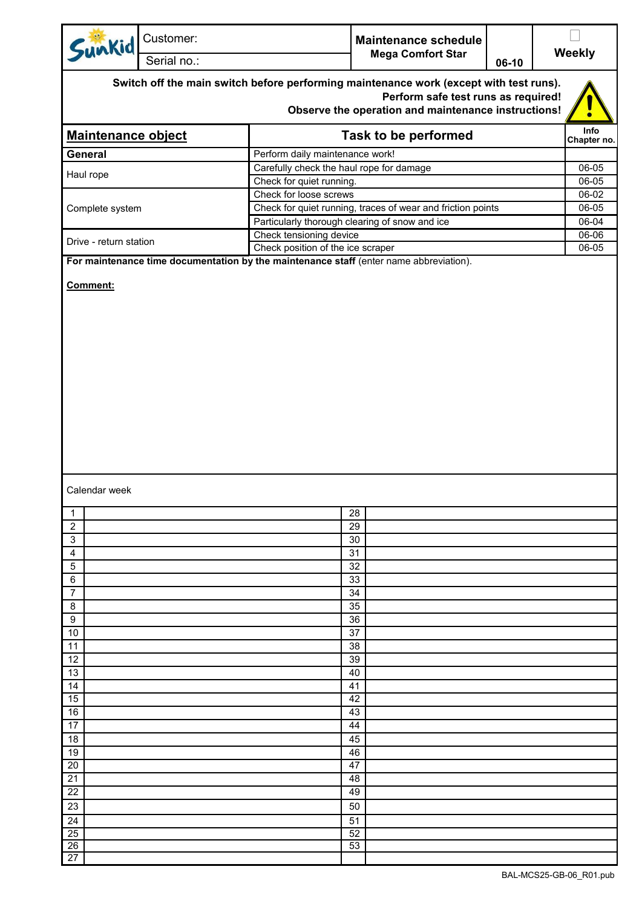| Sunkid                    | Customer:   |                                                             | <b>Maintenance schedule</b>                                                            |         |               |  |  |  |
|---------------------------|-------------|-------------------------------------------------------------|----------------------------------------------------------------------------------------|---------|---------------|--|--|--|
|                           | Serial no.: |                                                             | <b>Mega Comfort Star</b>                                                               | $06-10$ | <b>Weekly</b> |  |  |  |
|                           |             |                                                             | Switch off the main switch before performing maintenance work (except with test runs). |         |               |  |  |  |
|                           |             |                                                             | Perform safe test runs as required!                                                    |         |               |  |  |  |
|                           |             |                                                             | Observe the operation and maintenance instructions!                                    |         |               |  |  |  |
|                           |             |                                                             | Info                                                                                   |         |               |  |  |  |
| <b>Maintenance object</b> |             |                                                             | <b>Task to be performed</b>                                                            |         | Chapter no.   |  |  |  |
| General                   |             | Perform daily maintenance work!                             |                                                                                        |         |               |  |  |  |
| Haul rope                 |             | Carefully check the haul rope for damage                    | 06-05                                                                                  |         |               |  |  |  |
|                           |             | Check for quiet running.<br>Check for loose screws          | 06-05<br>06-02                                                                         |         |               |  |  |  |
| Complete system           |             | Check for quiet running, traces of wear and friction points | 06-05                                                                                  |         |               |  |  |  |
|                           |             | Particularly thorough clearing of snow and ice              | 06-04                                                                                  |         |               |  |  |  |
|                           |             | Check tensioning device                                     |                                                                                        |         | $06 - 06$     |  |  |  |
| Drive - return station    |             | Check position of the ice scraper                           |                                                                                        |         | 06-05         |  |  |  |
|                           |             |                                                             | For maintenance time documentation by the maintenance staff (enter name abbreviation). |         |               |  |  |  |
|                           |             |                                                             |                                                                                        |         |               |  |  |  |
| Calendar week             |             |                                                             |                                                                                        |         |               |  |  |  |
| 1<br>$\overline{c}$       |             |                                                             | 28<br>29                                                                               |         |               |  |  |  |
| 3                         |             |                                                             | 30                                                                                     |         |               |  |  |  |
| 4                         |             |                                                             | 31                                                                                     |         |               |  |  |  |
| 5                         |             |                                                             | 32                                                                                     |         |               |  |  |  |
| 6                         |             |                                                             | 33                                                                                     |         |               |  |  |  |
| 7<br>8                    |             |                                                             | 34<br>35                                                                               |         |               |  |  |  |
| 9                         |             |                                                             | 36                                                                                     |         |               |  |  |  |
| 10                        |             |                                                             | 37                                                                                     |         |               |  |  |  |
| 11                        |             |                                                             | 38                                                                                     |         |               |  |  |  |
| 12                        |             |                                                             | 39                                                                                     |         |               |  |  |  |
| 13<br>14                  |             |                                                             | 40<br>41                                                                               |         |               |  |  |  |
| 15                        |             |                                                             | 42                                                                                     |         |               |  |  |  |
| 16                        |             |                                                             | 43                                                                                     |         |               |  |  |  |
| 17                        |             |                                                             | 44                                                                                     |         |               |  |  |  |
| 18                        |             |                                                             | 45                                                                                     |         |               |  |  |  |
| 19                        |             |                                                             | 46                                                                                     |         |               |  |  |  |
| 20                        |             |                                                             | 47                                                                                     |         |               |  |  |  |
| 21<br>22                  |             |                                                             | 48<br>49                                                                               |         |               |  |  |  |
| 23                        |             |                                                             | 50                                                                                     |         |               |  |  |  |
| 24                        |             |                                                             | 51                                                                                     |         |               |  |  |  |
| 25                        |             |                                                             | 52                                                                                     |         |               |  |  |  |
| 26                        |             |                                                             | 53                                                                                     |         |               |  |  |  |
| 27                        |             |                                                             |                                                                                        |         |               |  |  |  |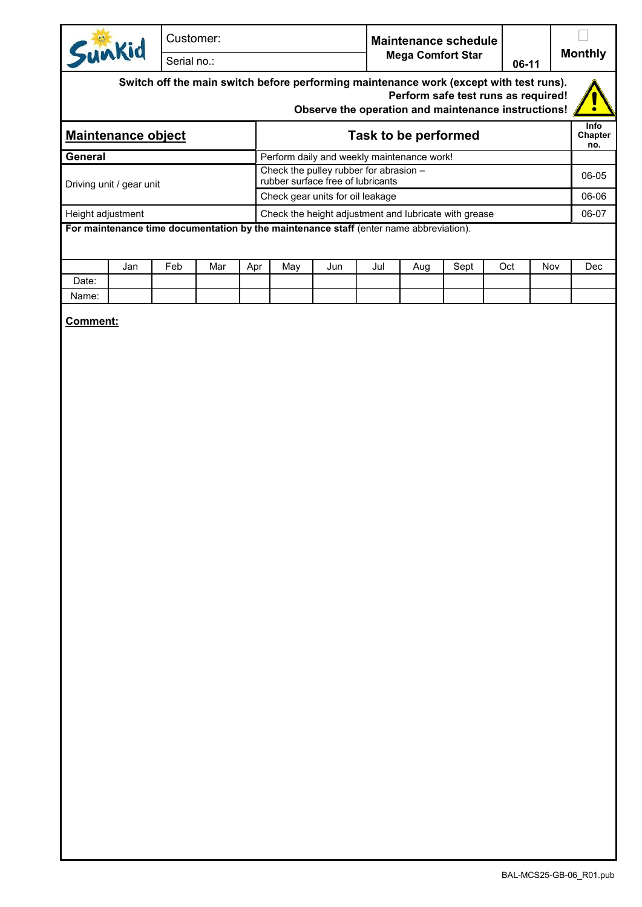| Customer:<br>Sunkid<br>Serial no.:                                                                                                                                                   |  |                      | <b>Monthly</b> |  |  |  |  |  |  |  |
|--------------------------------------------------------------------------------------------------------------------------------------------------------------------------------------|--|----------------------|----------------|--|--|--|--|--|--|--|
| Switch off the main switch before performing maintenance work (except with test runs).<br>Perform safe test runs as required!<br>Observe the operation and maintenance instructions! |  |                      |                |  |  |  |  |  |  |  |
| <b>Maintenance object</b>                                                                                                                                                            |  | Task to be performed |                |  |  |  |  |  |  |  |

|                          |                                                                               | no.   |
|--------------------------|-------------------------------------------------------------------------------|-------|
| General                  | Perform daily and weekly maintenance work!                                    |       |
| Driving unit / gear unit | Check the pulley rubber for abrasion $-$<br>rubber surface free of lubricants | 06-05 |
|                          | Check gear units for oil leakage                                              | 06-06 |
| Height adjustment        | Check the height adjustment and lubricate with grease                         |       |
|                          |                                                                               |       |

**For maintenance time documentation by the maintenance staff** (enter name abbreviation).

|       | Jan | Feb | Mar | Apr | May | Jun | Jul | Aug | Sept | Oct | Nov | Dec |
|-------|-----|-----|-----|-----|-----|-----|-----|-----|------|-----|-----|-----|
| Date: |     |     |     |     |     |     |     |     |      |     |     |     |
| Name: |     |     |     |     |     |     |     |     |      |     |     |     |

**Comment:**

BAL-MCS25-GB-06\_R01.pub